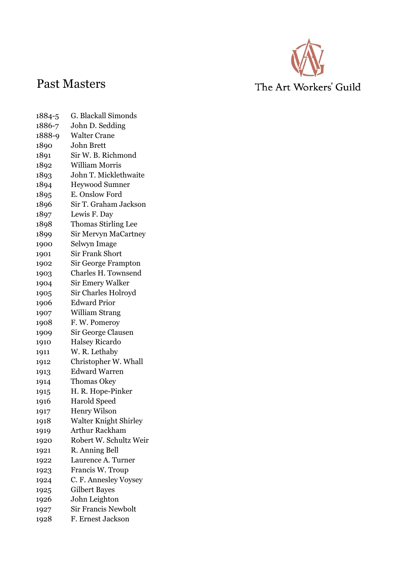

## Past Masters

## The Art Workers' Guild

- 1884-5 G. Blackall Simonds 1886-7 John D. Sedding 1888-9 Walter Crane John Brett Sir W. B. Richmond William Morris John T. Micklethwaite Heywood Sumner E. Onslow Ford Sir T. Graham Jackson Lewis F. Day Thomas Stirling Lee Sir Mervyn MaCartney Selwyn Image Sir Frank Short Sir George Frampton Charles H. Townsend Sir Emery Walker Sir Charles Holroyd Edward Prior William Strang F. W. Pomeroy Sir George Clausen Halsey Ricardo W. R. Lethaby Christopher W. Whall Edward Warren Thomas Okey H. R. Hope-Pinker Harold Speed Henry Wilson Walter Knight Shirley Arthur Rackham Robert W. Schultz Weir R. Anning Bell Laurence A. Turner Francis W. Troup C. F. Annesley Voysey Gilbert Bayes John Leighton Sir Francis Newbolt
- F. Ernest Jackson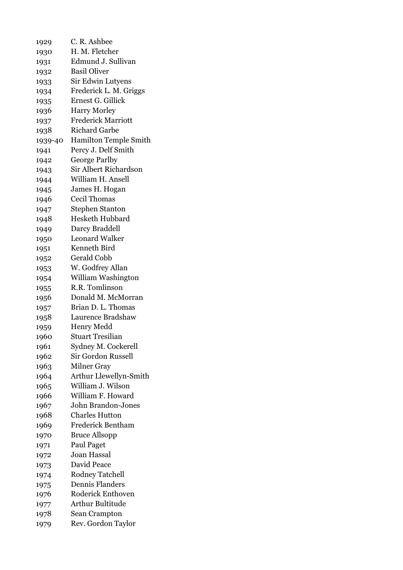| 1929    | C. R. Ashbee                 |
|---------|------------------------------|
| 1930    | H. M. Fletcher               |
| 1931    | Edmund J. Sullivan           |
| 1932    | <b>Basil Oliver</b>          |
| 1933    | Sir Edwin Lutyens            |
| 1934    | Frederick L. M. Griggs       |
| 1935    | Ernest G. Gillick            |
| 1936    | <b>Harry Morley</b>          |
| 1937    | <b>Frederick Marriott</b>    |
| 1938    | <b>Richard Garbe</b>         |
| 1939-40 | <b>Hamilton Temple Smith</b> |
| 1941    | Percy J. Delf Smith          |
| 1942    | George Parlby                |
| 1943    | <b>Sir Albert Richardson</b> |
| 1944    | William H. Ansell            |
| 1945    | James H. Hogan               |
| 1946    | <b>Cecil Thomas</b>          |
| 1947    | <b>Stephen Stanton</b>       |
| 1948    | <b>Hesketh Hubbard</b>       |
| 1949    | Darcy Braddell               |
| 1950    | <b>Leonard Walker</b>        |
| 1951    | Kenneth Bird                 |
| 1952    | <b>Gerald Cobb</b>           |
| 1953    | W. Godfrey Allan             |
| 1954    | William Washington           |
| 1955    | R.R. Tomlinson               |
| 1956    | Donald M. McMorran           |
| 1957    | Brian D. L. Thomas           |
| 1958    | Laurence Bradshaw            |
| 1959    | <b>Henry Medd</b>            |
| 1960    | Stuart Tresilian             |
| 1961    | Sydney M. Cockerell          |
| 1962    | <b>Sir Gordon Russell</b>    |
| 1963    | <b>Milner Gray</b>           |
| 1964    | Arthur Llewellyn-Smith       |
| 1965    | William J. Wilson            |
| 1966    | William F. Howard            |
| 1967    | John Brandon-Jones           |
| 1968    | <b>Charles Hutton</b>        |
| 1969    | <b>Frederick Bentham</b>     |
| 1970    | <b>Bruce Allsopp</b>         |
| 1971    | Paul Paget                   |
| 1972    | <b>Joan Hassal</b>           |
| 1973    | David Peace                  |
| 1974    | <b>Rodney Tatchell</b>       |
| 1975    | <b>Dennis Flanders</b>       |
| 1976    | Roderick Enthoven            |
| 1977    | <b>Arthur Bultitude</b>      |
| 1978    | Sean Crampton                |
| 1979    | Rev. Gordon Taylor           |
|         |                              |